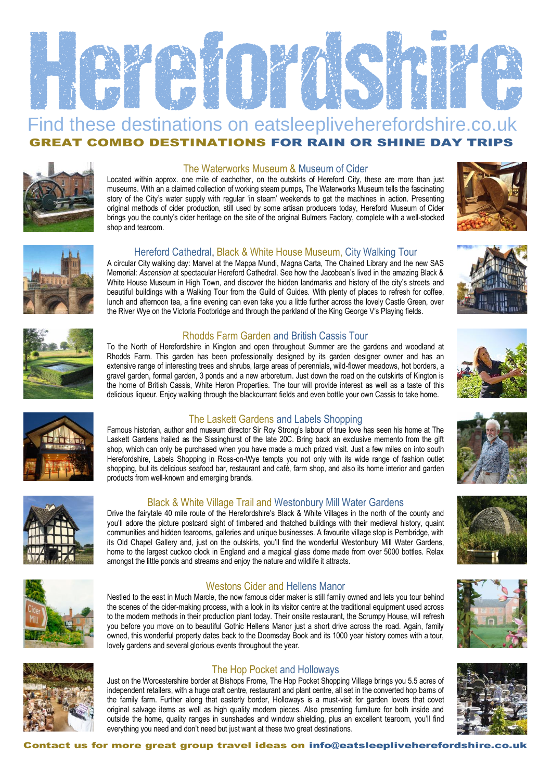

## Find these destinations on eatsleepliveherefordshire.co.uk GREAT COMBO DESTINATIONS FOR RAIN OR SHINE DAY TRIPS



#### The Waterworks Museum & Museum of Cider

Located within approx. one mile of eachother, on the outskirts of Hereford City, these are more than just museums. With an a claimed collection of working steam pumps, The Waterworks Museum tells the fascinating story of the City's water supply with regular 'in steam' weekends to get the machines in action. Presenting original methods of cider production, still used by some artisan producers today, Hereford Museum of Cider brings you the county's cider heritage on the site of the original Bulmers Factory, complete with a well-stocked shop and tearoom.





#### Hereford Cathedral, Black & White House Museum, City Walking Tour

A circular City walking day: Marvel at the Mappa Mundi, Magna Carta, The Chained Library and the new SAS Memorial: *Ascension* at spectacular Hereford Cathedral. See how the Jacobean's lived in the amazing Black & White House Museum in High Town, and discover the hidden landmarks and history of the city's streets and beautiful buildings with a Walking Tour from the Guild of Guides. With plenty of places to refresh for coffee, lunch and afternoon tea, a fine evening can even take you a little further across the lovely Castle Green, over the River Wye on the Victoria Footbridge and through the parkland of the King George V's Playing fields.



To the North of Herefordshire in Kington and open throughout Summer are the gardens and woodland at Rhodds Farm. This garden has been professionally designed by its garden designer owner and has an extensive range of interesting trees and shrubs, large areas of perennials, wild-flower meadows, hot borders, a gravel garden, formal garden, 3 ponds and a new arboretum. Just down the road on the outskirts of Kington is the home of British Cassis, White Heron Properties. The tour will provide interest as well as a taste of this delicious liqueur. Enjoy walking through the blackcurrant fields and even bottle your own Cassis to take home.



Famous historian, author and museum director Sir Roy Strong's labour of true love has seen his home at The Laskett Gardens hailed as the Sissinghurst of the late 20C. Bring back an exclusive memento from the gift shop, which can only be purchased when you have made a much prized visit. Just a few miles on into south Herefordshire, Labels Shopping in Ross-on-Wye tempts you not only with its wide range of fashion outlet shopping, but its delicious seafood bar, restaurant and café, farm shop, and also its home interior and garden products from well-known and emerging brands.



Drive the fairytale 40 mile route of the Herefordshire's Black & White Villages in the north of the county and you'll adore the picture postcard sight of timbered and thatched buildings with their medieval history, quaint communities and hidden tearooms, galleries and unique businesses. A favourite village stop is Pembridge, with its Old Chapel Gallery and, just on the outskirts, you'll find the wonderful Westonbury Mill Water Gardens, home to the largest cuckoo clock in England and a magical glass dome made from over 5000 bottles. Relax amongst the little ponds and streams and enjoy the nature and wildlife it attracts.



#### Westons Cider and Hellens Manor

Nestled to the east in Much Marcle, the now famous cider maker is still family owned and lets you tour behind the scenes of the cider-making process, with a look in its visitor centre at the traditional equipment used across to the modern methods in their production plant today. Their onsite restaurant, the Scrumpy House, will refresh you before you move on to beautiful Gothic Hellens Manor just a short drive across the road. Again, family owned, this wonderful property dates back to the Doomsday Book and its 1000 year history comes with a tour, lovely gardens and several glorious events throughout the year.



### The Hop Pocket and Holloways

Just on the Worcestershire border at Bishops Frome, The Hop Pocket Shopping Village brings you 5.5 acres of independent retailers, with a huge craft centre, restaurant and plant centre, all set in the converted hop barns of the family farm. Further along that easterly border, Holloways is a must-visit for garden lovers that covet original salvage items as well as high quality modern pieces. Also presenting furniture for both inside and outside the home, quality ranges in sunshades and window shielding, plus an excellent tearoom, you'll find everything you need and don't need but just want at these two great destinations.